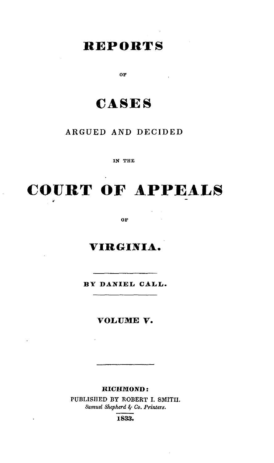## REPORTS

OF

# **CASES**

## **ARGUED AND** DECIDED

**IN THE**

# **COURT OF APPEALS**

OF

## **VIRGINIA.**

**BY DANIEL CALL.**

**VOLUME** V.

 $\ddot{\phantom{1}}$ 

 $\ddot{\phantom{0}}$ 

### **RICHMOND:**

PUBLISHED BY ROBERT **I.** SMIT1I. *Samuel Shepherd -' Co. Printers.*

**1833.**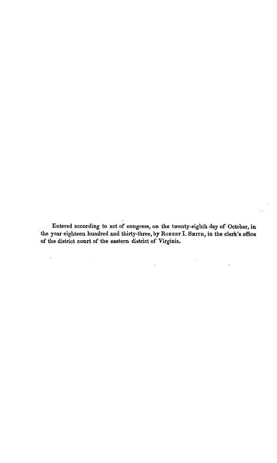Entered according to act of congress, on the twenty-eighth day of October, in the year eighteen hundred and thirty-three, **by ROBERT 1. SMITH,** in the clerk's office of the district court of the eastern district of Virginia.

 $\cdot$ 

 $\bar{z}$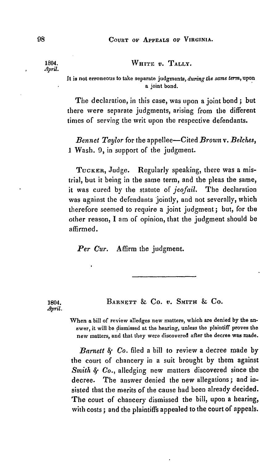## 1804. WHITE *v*. **TALLY.**

*April.*

It is not erroneous to take separate judgments, *during the same term,* upon a joint bond.

The declaration, in this case, was upon a joint bond **;** but there were separate judgments, arising from the different times of serving the writ upon the respective defendants.

*Bennet Taylor* for the appellee-Cited *Brown v. Belches,* I Wash. **9,** in support of the judgment.

TUCKER, Judge. Regularly speaking, there was a mistrial, but it being in the same term, and the pleas the same, it was cured by the statute of *jeofail.* The declaration was against the defendants jointly, and not severally, which therefore seemed to require a joint judgment; but, for the other reason, I am of opinion, that the judgment should be affirmed.

*Per Cur.* Affirm the judgment.

1804. BARNETT **& CO.** *V.* SMITH **& CO.**

When a bill of review alledges new matters, which are denied **by** the **an**swer, it will **be dismissed at** the hearing, unless the plaintiff proves the new matters, and that they were discovered after the decree was made.

*Barnett 8; Co.* filed a bill to review a decree made by the court of chancery in a suit brought by them against *Smith § Co., alledging new matters discovered since the* decree. The answer denied the new allegations; and insisted that the merits of the cause had been already decided. The court of chancery dismissed the bill, upon a hearing, with costs ; and the plaintiffs appealed to the court of appeals.

 $Amil$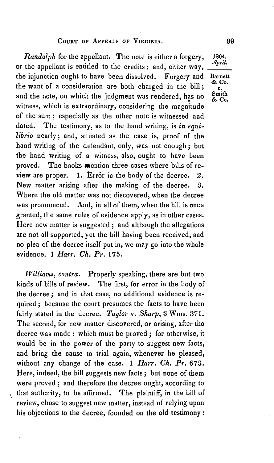*Randolph* for the appellant. The note is either a forgery, 1804. or the appellant is entitled to the credits; and, either way, the injunction ought to have been dissolved. Forgery and Barnett the want of a consideration are both charged in the bill  $\frac{60}{v}$ . and the note, on which the judgment was rendered, has no  $\frac{\text{Smith}}{66}$ witness, which is extraordinary, considering the magnitude of the sum ; especially as the other note is witnessed and dated. The testimony, as to the hand writing, is *in equilibrio* nearly; and, situated as the case is, proof of the hand writing of the defendant, only, was not enough ; but the hand writing of a witness, also, ought to have been proved. The books mention three cases where bills of review are proper.  $1.$  Error in the body of the decree.  $2.$ New matter arising after the making of the decree. **3.** Where the old matter was not discovered, when the decree was pronounced. And, in all of them, when the bill is once granted, the same rules of evidence apply, as in other cases. Here new matter is suggested ; and although the allegations are not all supported, yet the bill having been received, and no plea of the decree itself put in, we may go into the whole evidence. 1 *Harr. Ch. Pr.* 175.

*Williams, contra.* Properly speaking, there are but two kinds of bills of review. The first, for error in the body of the decree ; and in that case, no additional evidence is required ; because the court presumes the facts to have been fairly stated in the decree. *Taylor v. Sharp*, 3 Wms. 371. The second, for new matter discovered, or arising, after the decree was made: which must be proved ; for otherwise, it would be in the power of the party to suggest new facts, and bring the cause to trial again, whenever he pleased, without any change of the case. 1 *Harr. Ch. Pr.* 673. Here, indeed, the bill suggests new facts ; but none of them were proved **;** and therefore the decree ought, according to that authority, to be affirmed. The plaintiff, in the bill of review, chose to suggest new matter, instead of relying upon his objections to the decree, founded on the old testimony:

99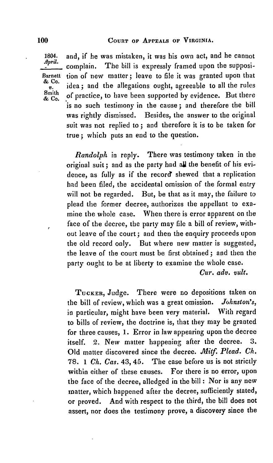1804. and, if he was mistaken, it was his own act, and he cannot complain. The bill is expressly framed upon the supposi-Barnett tion of new matter; leave to file it was granted upon that & Co.  $\frac{\mathbf{x}}{p}$ . idea; and the allegations ought, agreeable to all the rules<br>South of practice, to have been supported by evidence. But there is no such testimony in the cause **;** and therefore the bill was rightly dismissed. Besides, the answer to the original suit was not replied to **;** and therefore it is to be taken for true **;** which puts an end to the question.

> *Randolph* in reply. There was testimony taken in the original suit; and as the party had all the benefit of his evidence, as fully as if the record shewed that a replication had been filed, the accidental omission of the formal entry will not be regarded. But, be that as it may, the failure to plead the former decree, authorizes the appellant to examine the whole case. When there is error apparent on the face of the decree, the party may file a bill of review, without leave of the court ; and then the enquiry proceeds upon the old record only. But where new matter is suggested, the leave of the court must be first obtained ; and then the party ought to be at liberty to examine the whole case.

*Cur. adv. vult.*

TUCKER, Judge. There were no depositions taken on the bill of review, which was a great omission. *Johnston's,* in particular, might have been very material. With regard to bills of review, the doctrine is, that they may be granted for three causes, 1. Error in law appearing upon the decree itself. 2. New matter happening after the decree. 3. Old matter discovered since the decree. *Mitf. Plead. Ch.* 78. 1 *Ch. Cas.* 43, 45. The case before us is not strictly within either of these causes. For there is no error, upon the face of the decree, alledged in the bill : Nor is any new matter, which happened after the decree, sufficiently stated, or proved. And with respect to the third, the bill does not assert, nor does the testimony prove, a discovery since the

& Co.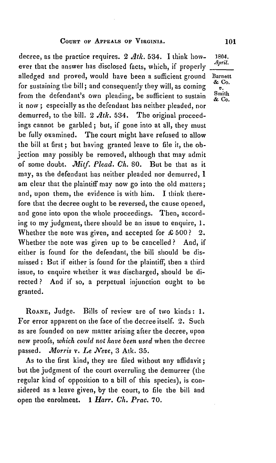decree, as the practice requires. 2 *dtk.* 534. **1** think how- 1804. ever that the answer has disclosed facts, which, if properly alledged and proved, would have been a sufficient ground Barnett for sustaining the bill; and consequently they will, as coming  $\frac{\infty}{v}$ . from the defendant's own pleading, be sufficient to sustain it now ; especially as the defendant has neither pleaded, nor demurred, to the bill. 2 *Atk*. 534. The original proceedings cannot be garbled ; but, if gone into at all, they must be fully examined. The court might have refused to allow the bill at first; but having granted leave to file it, the objection may possibly be removed, although that may admit of some doubt. *JMitf. Plead.* **Ch.** 80. But be that as it may, as the defendant has neither pleaded nor demurred, **I** am clear that the plaintiff may now go into the old matters; and, upon them, the evidence is with him. I think therefore that the decree ought to be reversed, the cause opened, and gone into upon the whole proceedings. Then, according to my judgment, there should be an issue to enquire, 1. Whether the note was given, and accepted for £500? 2. Whether the note was given up to be cancelled? And, if either is found for the defendant, the bill should be dismissed : But if either is found for the plaintiff, then a third issue, to enquire whether it was discharged, should be directed ? And if so, a perpetual injunction ought to be granted.

**ROANE,** Judge. Bills of review are of two kinds: **1.** For error apparent on the face of the decree itself. 2. Such as are founded on new matter arising after the decree, upon new proofs, *which could not have been used* when the decree passed. *Morris v. Le Neve*, 3 Atk. 35.

As to the first kind, they are filed without any affidavit; but the judgment of the court overruling the demurrer (the regular kind of opposition to a bill of this species), is considered as a leave given, by the court, to file the bill and open the enrolment. 1 *Harr.* **Ch.** *Prac.* 70.

**& Co.**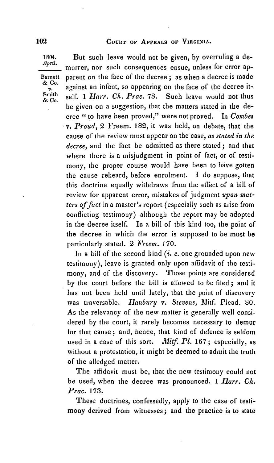**& Co.**

1804. But such leave would not be given, **by** overruling a demurrer, nor such consequences ensue, unless for error ap-Barnett parent on the face of the decree ; as when a decree is made against an infant, so appearing on the face of the decree it-<br>self. 1 *Harr. Ch. Prac.* 78. Such leave would not thus  $S<sub>co.</sub><sup>Smith</sup>$  self. 1 *Harr. Ch. Prac.* 78. be given on a suggestion, that the matters stated in the decree *"* to have been proved," were not proved. In *Combes v. Proud,* 2 Freem. 182, it was held, on debate, that the cause of the review must appear on the case, *as stated in the decree,* and the fact be admitted as there stated ; and that where there is a misjudgment in point of fact, or of testimony, the proper course would have been to have gotten the cause reheard, before enrolment. I do suppose, that this doctrine equally withdraws from the effect of a bill of review for apparent error, mistakes of judgment *upon matters offact* in a master's report (especially such as arise from conflicting testimony) although the report may be adopted in the decree itself. In a bill of this kind too, the point of the decree in which the error is supposed to be must be particularly stated. 2 *Freem.* **170.**

In a bill of the second kind *(i. e.* one grounded upon new testimony), leave is granted only upon affidavit of the testimony, and of the discovery. Those points are considered by the court before the bill is allowed to be filed ; and it has not been held until lately, that the point of discovery was traversable. *Hanbury v. Stevens,* Mitf. Plead. 80. As the relevancy of the new matter is generally well considered by the court, it rarely becomes necessary to demur for that cause ; and, hence, that kind of defence is seldom used in a case of this sort. *Mitf. Pl.* 167; especially, as without a protestation, it might be deemed to admit the truth of the alledged matter.

The affidavit must be, that the new testimony could not be used, when the decree was pronounced. 1 *Barr. Ch. Prac.* **173.**

These doctrines, confessedly, apply to the case of testimony derived from witnesses; and the practice is to state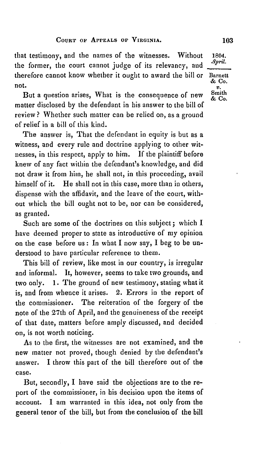that testimony, and the names of the witnesses. Without 1804. the former, the court cannot judge of its relevancy, and therefore cannot know whether it ought to award the bill or **Barnett**  $\&$  Co. **a** contract the contract of  $\frac{d}{dx}$  Co.

t.<br>But a question arises, What is the consequence of new  $\begin{array}{c} v. \\ \& \text{C}o. \end{array}$ matter disclosed by the defendant in his answer to the bill of review ? Whether such matter can be relied on, as a ground of relief in a bill of this kind.

The answer is, That the defendant in equity is but as a witness, and every rule and doctrine applying to other witnesses, in this respect, apply to him. If the plaintiff before knew of any fact within the defendant's knowledge, and did not draw it from him, he shall not, in this proceeding, avail himself of it. He shall not in this case, more than in others, dispense with the affidavit, and the leave of the court, without which the bill ought not to be, nor can be considered, as granted.

Such are some of the doctrines on this subject; which I have deemed proper to state as introductive of my opinion on the case before us : In what I now say, I beg to be understood to have particular reference to them.

This bill of review, like most in our country, is irregular and informal. It, however, seems to take two grounds, and two only. 1. The ground of new testimony, stating what it is, and from whence it arises. 2. Errors in the report of the commissioner. The reiteration of the forgery of the note of the 27th of April, and the genuineness of the receipt of that date, matters before amply discussed, and decided on, is not worth noticing.

As to the first, the witnesses are not examined, and the new matter not proved, though denied by the defendant's answer. I throw this part of the bill therefore out of the case.

But, secondly, I have said the objections are to the report of the commissioner, in his decision upon the items of account. I am warranted in this idea, not only from the general tenor of the bill, but from the conclusion of the bill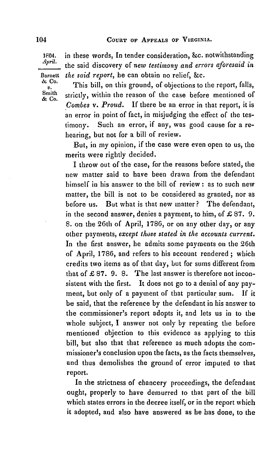**04.** in these words, In tender consideration, &c. notwithstanding *.pri.* the said discovery **of** *new testimony and errors aforesaid in*

Barnett *the said report,* he can obtain no relief, **&c. & Co. & Co.**

This bill, on this ground, of objections to the report, falls, strictly, within the reason of the case before mentioned of *Combes v. Proud.* If there be an error in that report, it is an error in point of fact, in misjudging the effect of the testimony. Such an error, if any, was good cause for a rehearing, but not for a bill of review.

But, in my opinion, if the case were even open to us, the merits were rightly decided.

I throw out of the case, for the reasons before stated, the new matter said to have been drawn from the defendant himself in his answer to the bill of review **:** as to such new matter, the bill is not to be considered as granted, nor as before us. But what is that new matter? The defendant, in the second answer, denies a payment, to him, of £87. 9. **S.** on the 26th of April, **1786,** or on any other day, or any other payments, *except those stated in the accounts current.* In the first answer, he admits some payments on the 26th of April, 1786, and refers to his account rendered ; which credits two items as of that day, but for sums different from that of  $\pounds 87$ . 9. 8. The last answer is therefore not inconsistent with the first. It does not go to a denial of any payment, but only of a payment of that particular sum. If it be said, that the reference by the defendant in his answer to the commissioner's report adopts it, and lets us in to the whole subject, I answer not only by repeating the before mentioned objection to this evidence as applying to this bill, but also that that reference as much adopts the commissioner's conclusion upon the facts, as the facts themselves, and thus demolishes the ground of error imputed to that report.

In the strictness of chancery proceedings, the defendant ought, properly to have demurred to that part of the bill which states errors in the decree itself, or in the report which it adopted, and also have answered as he has done, to the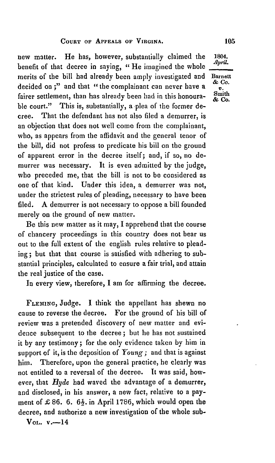new matter. He has, however, substantially claimed the 1804. benefit of that decree in saying, "He imagined the whole merits of the bill had already been amply investigated and Barnett decided on ;" and that "the complainant can never have a fairer settlement, than has already been had in this honourable court." This is, substantially, a plea of the former decree. That the defendant has not also filed a demurrer, is an objection that does not well come from the complainant, who, as appears from the affidavit and the general tenor of the bill, did not profess to predicate his bill on the ground of apparent error in the decree itself; and, if so, no demurrer was necessary. It is even admitted by the judge, who preceded me, that the bill is not to be considered as one of that kind. Under this idea, a demurrer was not, under the strictest rules of pleading, necessary to have been filed. A demurrer is not necessary to oppose a bill founded merely on the ground of new matter.

Be this new matter as it may, I apprehend that the course of chancery proceedings in this country does not bear us out to the full extent of the english rules relative to pleading ; but that that course is satisfied with adhering to substantial principles, calculated to ensure a fair trial, and attain the real justice of the case.

In every view, therefore, I am for affirming the decree.

**FLEMING,** Judge. I think the appellant has shewn no cause to reverse the decree. For the ground of his bill of review was a pretended discovery of new matter and evidence subsequent to the decree ; but he has not sustained it by any testimony; for the only evidence taken by him in support of it, is the deposition of *Young;* and that is against him. Therefore, upon the general practice, he clearly was not entitled to a reversal of the decree. It was said, however, that *Hyde* had waved the advantage of a demurrer, and disclosed, in his answer, a new fact, relative to a payment of  $\pounds 86$ . 6.  $6\frac{1}{2}$ . in April 1786, which would open the decree, and authorize a new investigation of the whole sub-

 $V_{0L}$ . v.-14

& **Co. & CO.**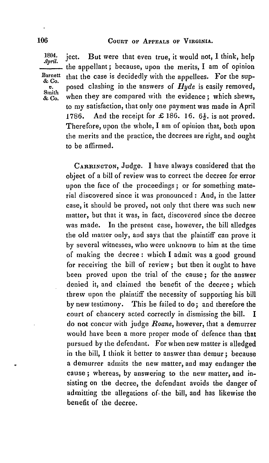*A'pril.* **1804.** ject. But were that even true, it would not, **I** think, help **-** the appellant; because, upon the merits, I am of opinion Barnett that the case is decidedly with the appellees. For the sup $v_{\rm b}$ .<br> **Strict**<br> **Strict**<br> **Strict**<br> **EXECUTE:** Smith then they are compared with the evidence; which shews, to my satisfaction, that only one payment was made in April 1786. And the receipt for £186. 16. 6<sup>1</sup>/<sub>2</sub>, is not proved. Therefore, upon the whole, I am of opinion that, both upon the merits and the practice, the decrees are right, and ought to be affirmed.

> **CARRINGTON,** Judge. I have always considered that the object of a bill of review was to correct the decree for error upon the face of the proceedings; or for something material discovered since it was pronounced : And, in the latter case, it should be proved, not only that there was such new matter, but that it was, in fact, discovered since the decree was made. In the present case, however, the bill alledges the old matter only, and says that the plaintiff can prove it by several witnesses, who were unknown to him at the time of making the decree: which I admit was a good ground for receiving the bill of review; but then it ought to have been proved upon the trial of the cause **;** for the answer denied it, and claimed the benefit of the decree ; which threw upon the plaintiff the necessity of supporting his bill by new testimony. This he failed to do; and therefore the court of chancery acted correctly in dismissing the bill. I do not concur with judge *Roane,* however, that a demurrer would have been a more proper mode of defence than that pursued by the defendant. For when new matter is alledged in the bill, I think it better to answer than demur **;** because a demurrer admits the new matter, and may endanger the cause ; whereas, by answering to the new matter, and insisting on the decree, the defendant avoids the danger of admitting the allegations of. the bill, and has likewise the benefit of the decree.